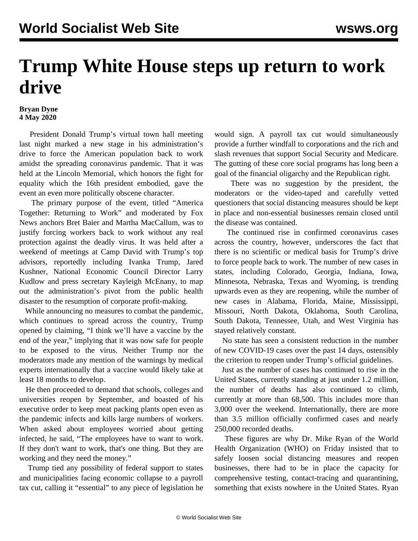## **Trump White House steps up return to work drive**

## **Bryan Dyne 4 May 2020**

 President Donald Trump's virtual town hall meeting last night marked a new stage in his administration's drive to force the American population back to work amidst the spreading coronavirus pandemic. That it was held at the Lincoln Memorial, which honors the fight for equality which the 16th president embodied, gave the event an even more politically obscene character.

 The primary purpose of the event, titled "America Together: Returning to Work" and moderated by Fox News anchors Bret Baier and Martha MacCallum, was to justify forcing workers back to work without any real protection against the deadly virus. It was held after a weekend of meetings at Camp David with Trump's top advisors, reportedly including Ivanka Trump, Jared Kushner, National Economic Council Director Larry Kudlow and press secretary Kayleigh McEnany, to map out the administration's pivot from the public health disaster to the resumption of corporate profit-making.

 While announcing no measures to combat the pandemic, which continues to spread across the country, Trump opened by claiming, "I think we'll have a vaccine by the end of the year," implying that it was now safe for people to be exposed to the virus. Neither Trump nor the moderators made any mention of the warnings by medical experts internationally that a vaccine would likely take at least 18 months to develop.

 He then proceeded to demand that schools, colleges and universities reopen by September, and boasted of his executive order to keep meat packing plants open even as the pandemic infects and kills large numbers of workers. When asked about employees worried about getting infected, he said, "The employees have to want to work. If they don't want to work, that's one thing. But they are working and they need the money."

 Trump tied any possibility of federal support to states and municipalities facing economic collapse to a payroll tax cut, calling it "essential" to any piece of legislation he would sign. A payroll tax cut would simultaneously provide a further windfall to corporations and the rich and slash revenues that support Social Security and Medicare. The gutting of these core social programs has long been a goal of the financial oligarchy and the Republican right.

 There was no suggestion by the president, the moderators or the video-taped and carefully vetted questioners that social distancing measures should be kept in place and non-essential businesses remain closed until the disease was contained.

 The continued rise in confirmed coronavirus cases across the country, however, underscores the fact that there is no scientific or medical basis for Trump's drive to force people back to work. The number of new cases in states, including Colorado, Georgia, Indiana, Iowa, Minnesota, Nebraska, Texas and Wyoming, is trending upwards even as they are reopening, while the number of new cases in Alabama, Florida, Maine, Mississippi, Missouri, North Dakota, Oklahoma, South Carolina, South Dakota, Tennessee, Utah, and West Virginia has stayed relatively constant.

 No state has seen a consistent reduction in the number of new COVID-19 cases over the past 14 days, ostensibly the criterion to reopen under Trump's official guidelines.

 Just as the number of cases has continued to rise in the United States, currently standing at just under 1.2 million, the number of deaths has also continued to climb, currently at more than 68,500. This includes more than 3,000 over the weekend. Internationally, there are more than 3.5 million officially confirmed cases and nearly 250,000 recorded deaths.

 These figures are why Dr. Mike Ryan of the World Health Organization (WHO) on Friday insisted that to safely loosen social distancing measures and reopen businesses, there had to be in place the capacity for comprehensive testing, contact-tracing and quarantining, something that exists nowhere in the United States. Ryan